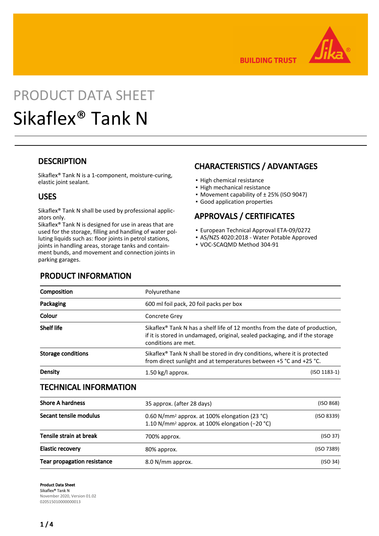

**BUILDING TRUST** 

# PRODUCT DATA SHEET Sikaflex® Tank N

### **DESCRIPTION**

Sikaflex® Tank N is a 1-component, moisture-curing, elastic joint sealant.

### USES

Sikaflex® Tank N shall be used by professional applicators only.

Sikaflex® Tank N is designed for use in areas that are used for the storage, filling and handling of water polluting liquids such as: floor joints in petrol stations, joints in handling areas, storage tanks and containment bunds, and movement and connection joints in parking garages.

# CHARACTERISTICS / ADVANTAGES

- **· High chemical resistance**
- High mechanical resistance
- Movement capability of ± 25% (ISO 9047)
- Good application properties

# APPROVALS / CERTIFICATES

- European Technical Approval ETA-09/0272
- AS/NZS 4020:2018 Water Potable Approved
- VOC-SCAQMD Method 304-91

| Composition               | Polyurethane                                                                                                                                                                                   |                                                                                                                                                             |  |  |
|---------------------------|------------------------------------------------------------------------------------------------------------------------------------------------------------------------------------------------|-------------------------------------------------------------------------------------------------------------------------------------------------------------|--|--|
| Packaging                 | 600 ml foil pack, 20 foil packs per box                                                                                                                                                        |                                                                                                                                                             |  |  |
| Colour                    | <b>Concrete Grev</b>                                                                                                                                                                           |                                                                                                                                                             |  |  |
| <b>Shelf life</b>         | Sikaflex <sup>®</sup> Tank N has a shelf life of 12 months from the date of production,<br>if it is stored in undamaged, original, sealed packaging, and if the storage<br>conditions are met. |                                                                                                                                                             |  |  |
| <b>Storage conditions</b> |                                                                                                                                                                                                | Sikaflex <sup>®</sup> Tank N shall be stored in dry conditions, where it is protected<br>from direct sunlight and at temperatures between +5 °C and +25 °C. |  |  |
| Density                   | 1.50 kg/l approx.                                                                                                                                                                              | $(ISO 1183-1)$                                                                                                                                              |  |  |

### TECHNICAL INFORMATION

| <b>Shore A hardness</b><br>35 approx. (after 28 days) |                                                                                                                         | (ISO 868)  |  |
|-------------------------------------------------------|-------------------------------------------------------------------------------------------------------------------------|------------|--|
| Secant tensile modulus                                | 0.60 N/mm <sup>2</sup> approx. at 100% elongation (23 °C)<br>1.10 N/mm <sup>2</sup> approx. at 100% elongation (-20 °C) | (ISO 8339) |  |
| Tensile strain at break                               | 700% approx.                                                                                                            | (ISO 37)   |  |
| <b>Elastic recovery</b>                               | 80% approx.                                                                                                             | (ISO 7389) |  |
| <b>Tear propagation resistance</b>                    | 8.0 N/mm approx.                                                                                                        | (ISO 34)   |  |

Product Data Sheet Sikaflex® Tank N November 2020, Version 01.02 020515010000000013

# PRODUCT INFORMATION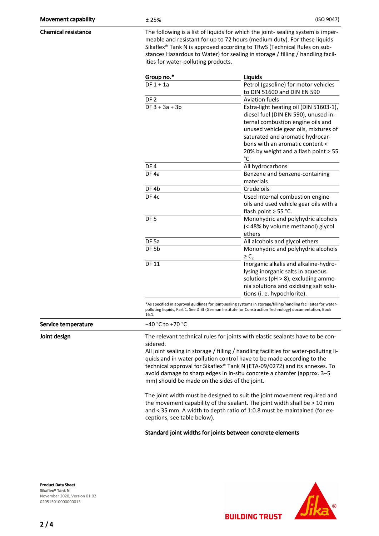Chemical resistance The following is a list of liquids for which the joint-sealing system is impermeable and resistant for up to 72 hours (medium duty). For these liquids Sikaflex® Tank N is approved according to TRwS (Technical Rules on substances Hazardous to Water) for sealing in storage / filling / handling facilities for water-polluting products.

| Group no.*       | <b>Liquids</b>                                                                                                                                                                                                                      |
|------------------|-------------------------------------------------------------------------------------------------------------------------------------------------------------------------------------------------------------------------------------|
| $DF 1 + 1a$      | Petrol (gasoline) for motor vehicles                                                                                                                                                                                                |
|                  | to DIN 51600 and DIN EN 590                                                                                                                                                                                                         |
| DF <sub>2</sub>  | <b>Aviation fuels</b>                                                                                                                                                                                                               |
| $DF 3 + 3a + 3b$ | Extra-light heating oil (DIN 51603-1),<br>diesel fuel (DIN EN 590), unused in-<br>ternal combustion engine oils and<br>unused vehicle gear oils, mixtures of<br>saturated and aromatic hydrocar-<br>bons with an aromatic content < |
|                  | 20% by weight and a flash point > 55<br>°C                                                                                                                                                                                          |
| DF4              | All hydrocarbons                                                                                                                                                                                                                    |
| DF <sub>4a</sub> | Benzene and benzene-containing<br>materials                                                                                                                                                                                         |
| DF <sub>4b</sub> | Crude oils                                                                                                                                                                                                                          |
| DF <sub>4c</sub> | Used internal combustion engine<br>oils and used vehicle gear oils with a<br>flash point > 55 °C.                                                                                                                                   |
| DF <sub>5</sub>  | Monohydric and polyhydric alcohols<br>(< 48% by volume methanol) glycol<br>ethers                                                                                                                                                   |
| DF <sub>5a</sub> | All alcohols and glycol ethers                                                                                                                                                                                                      |
| DF <sub>5b</sub> | Monohydric and polyhydric alcohols<br>$\geq$ C,                                                                                                                                                                                     |
| <b>DF 11</b>     | Inorganic alkalis and alkaline-hydro-<br>lysing inorganic salts in aqueous<br>solutions ( $pH > 8$ ), excluding ammo-<br>nia solutions and oxidising salt solu-<br>tions (i. e. hypochlorite).                                      |

\*As specified in approval guidlines for joint-sealing systems in storage/filling/handling facilieites for waterpolluting liquids, Part 1. See DIBt (German Institute for Construction Technology) documentation, Book 16.1.

| Service temperature | $-40 °C$ to +70 $°C$                                                                                                                                                                                                                                                                                                                                                                                                                                                                                                                                                                                                                                                                                                                  |  |
|---------------------|---------------------------------------------------------------------------------------------------------------------------------------------------------------------------------------------------------------------------------------------------------------------------------------------------------------------------------------------------------------------------------------------------------------------------------------------------------------------------------------------------------------------------------------------------------------------------------------------------------------------------------------------------------------------------------------------------------------------------------------|--|
| Joint design        | The relevant technical rules for joints with elastic sealants have to be con-<br>sidered.<br>All joint sealing in storage / filling / handling facilities for water-polluting li-<br>quids and in water pollution control have to be made according to the<br>technical approval for Sikaflex® Tank N (ETA-09/0272) and its annexes. To<br>avoid damage to sharp edges in in-situ concrete a chamfer (approx. 3–5<br>mm) should be made on the sides of the joint.<br>The joint width must be designed to suit the joint movement required and<br>the movement capability of the sealant. The joint width shall be > 10 mm<br>and < 35 mm. A width to depth ratio of 1:0.8 must be maintained (for ex-<br>ceptions, see table below). |  |
|                     |                                                                                                                                                                                                                                                                                                                                                                                                                                                                                                                                                                                                                                                                                                                                       |  |

#### Standard joint widths for joints between concrete elements

Product Data Sheet Sikaflex® Tank N November 2020, Version 01.02 020515010000000013

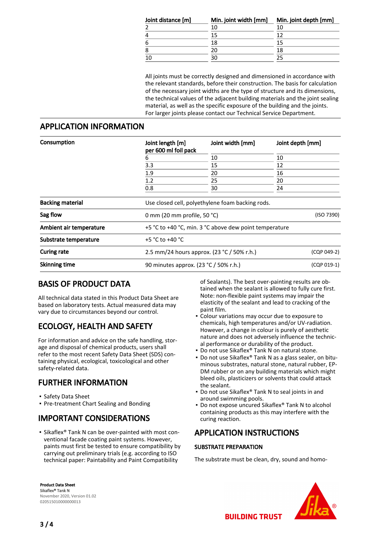| Joint distance [m] | Min. joint width [mm] | Min. joint depth [mm] |  |
|--------------------|-----------------------|-----------------------|--|
|                    | 10                    |                       |  |
| 4                  | 15                    |                       |  |
| 6                  | 18                    |                       |  |
| 8                  | 20                    | 18                    |  |
|                    |                       |                       |  |

All joints must be correctly designed and dimensioned in accordance with the relevant standards, before their construction. The basis for calculation of the necessary joint widths are the type of structure and its dimensions, the technical values of the adjacent building materials and the joint sealing material, as well as the specific exposure of the building and the joints. For larger joints please contact our Technical Service Department.

### APPLICATION INFORMATION

| Consumption             | Joint length [m]<br>per 600 ml foil pack                  | Joint width [mm]                                       | Joint depth [mm]<br>10<br>12<br>16<br>20<br>24 |  |  |
|-------------------------|-----------------------------------------------------------|--------------------------------------------------------|------------------------------------------------|--|--|
|                         | 6<br>3.3<br>1.9<br>1.2<br>0.8                             | 10                                                     |                                                |  |  |
|                         |                                                           | 15                                                     |                                                |  |  |
|                         |                                                           | 20                                                     |                                                |  |  |
|                         |                                                           | 25                                                     |                                                |  |  |
|                         |                                                           | 30                                                     |                                                |  |  |
| <b>Backing material</b> |                                                           | Use closed cell, polyethylene foam backing rods.       |                                                |  |  |
| Sag flow                |                                                           | 0 mm (20 mm profile, 50 $°C$ )                         |                                                |  |  |
| Ambient air temperature |                                                           | +5 °C to +40 °C, min. 3 °C above dew point temperature |                                                |  |  |
| Substrate temperature   | +5 $^{\circ}$ C to +40 $^{\circ}$ C                       |                                                        |                                                |  |  |
| <b>Curing rate</b>      | 2.5 mm/24 hours approx. (23 °C / 50% r.h.)<br>(CQP 049-2) |                                                        |                                                |  |  |
| <b>Skinning time</b>    | 90 minutes approx. (23 °C / 50% r.h.)                     |                                                        | (CQP 019-1)                                    |  |  |

# BASIS OF PRODUCT DATA

All technical data stated in this Product Data Sheet are based on laboratory tests. Actual measured data may vary due to circumstances beyond our control.

# ECOLOGY, HEALTH AND SAFETY

For information and advice on the safe handling, storage and disposal of chemical products, users shall refer to the most recent Safety Data Sheet (SDS) containing physical, ecological, toxicological and other safety-related data.

# FURTHER INFORMATION

- Safety Data Sheet
- Pre-treatment Chart Sealing and Bonding

# IMPORTANT CONSIDERATIONS

■ Sikaflex® Tank N can be over-painted with most conventional facade coating paint systems. However, paints must first be tested to ensure compatibility by carrying out preliminary trials (e.g. according to ISO technical paper: Paintability and Paint Compatibility

of Sealants). The best over-painting results are obtained when the sealant is allowed to fully cure first. Note: non-flexible paint systems may impair the elasticity of the sealant and lead to cracking of the paint film.

- Colour variations may occur due to exposure to chemicals, high temperatures and/or UV-radiation. However, a change in colour is purely of aesthetic nature and does not adversely influence the technical performance or durability of the product. ▪
- Do not use Sikaflex® Tank N on natural stone.
- Do not use Sikaflex® Tank N as a glass sealer, on bituminous substrates, natural stone, natural rubber, EP-DM rubber or on any building materials which might bleed oils, plasticizers or solvents that could attack the sealant.
- Do not use Sikaflex® Tank N to seal joints in and around swimming pools.
- Do not expose uncured Sikaflex® Tank N to alcohol containing products as this may interfere with the curing reaction. ▪

# APPLICATION INSTRUCTIONS

### SUBSTRATE PREPARATION

The substrate must be clean, dry, sound and homo-

Product Data Sheet Sikaflex® Tank N November 2020, Version 01.02 020515010000000013



**BUILDING TRUST**